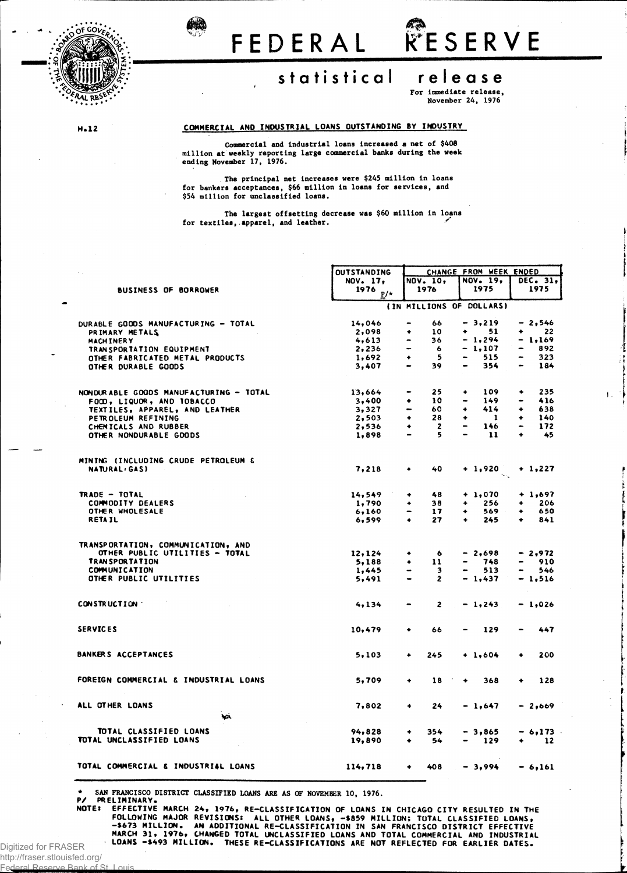

# **:isSB FEDERA <sup>L</sup> RESERV <sup>E</sup>**

# **statistica l releas e**

## For immediate release,

November 24, 1976

### **H.12 COMMERCIAL AND INDUSTRIAL LOANS OUTSTANDING BY INDUSTRY**

Commercial and industrial loans increased a net of \$408 million at weekly reporting large commercial banks during the week ending November 17, 1976.

. The principal net increases were \$245 million in loans for bankers acceptances, \$66 million in loans for services, and \$54 million for unclassified loans.

The largest offsetting decrease was \$60 million in loans for textiles, apparel, and leather.

|                                        | <b>OUTSTANDING</b> |                                | CHANGE FROM WEEK ENDED              |                       |  |  |  |
|----------------------------------------|--------------------|--------------------------------|-------------------------------------|-----------------------|--|--|--|
|                                        | NOV. 17,           | NOV. 10,                       | NOV. 19,                            | DEC. 31.              |  |  |  |
| <b>BUSINESS OF BORROWER</b>            | 1976<br>$P/*$      | 1976                           | 1975                                | 1975                  |  |  |  |
|                                        |                    |                                | (IN MILLIONS OF DOLLARS)            |                       |  |  |  |
|                                        |                    |                                |                                     |                       |  |  |  |
| DURABLE GOODS MANUFACTURING - TOTAL    | 14,046             | 66                             | $-3,219$                            | - 2.546               |  |  |  |
| PRIMARY METALS                         | 2,098              | 10<br>۰                        | ٠<br>51                             | 22<br>$\bullet$       |  |  |  |
| <b>MACHINERY</b>                       | 4,613              | 36                             | $-1,294$                            | - 1.169               |  |  |  |
| TRANSPORTATION EQUIPMENT               | 2,236              | 6                              | $-1,107$                            | 892                   |  |  |  |
| OTHER FABRICATED METAL PRODUCTS        | 1,692              | -5<br>٠                        | 515                                 | 323                   |  |  |  |
| OTHER DURABLE GOODS                    | 3,407              | 39                             | 354                                 | 184                   |  |  |  |
|                                        |                    |                                |                                     |                       |  |  |  |
| NONDURABLE GOODS MANUFACTURING - TOTAL | 13,664             | 25                             | 109<br>۰                            | 235<br>۰              |  |  |  |
| FOCD, LIQUOR, AND TOBACCO              | 3,400              | 10<br>٠                        | 149<br>$\bullet$                    | 416                   |  |  |  |
| TEXTILES, APPAREL, AND LEATHER         | 3,327              | 60<br>$\overline{\phantom{0}}$ | 414<br>۰                            | 638<br>۰              |  |  |  |
| PETROLEUM REFINING                     | 2,503              | 28<br>۰                        | $\mathbf{1}$<br>۰                   | 140<br>٠              |  |  |  |
| CHEMICALS AND RUBBER                   | 2,536              | $\overline{\mathbf{c}}$<br>۰   | 146<br>$\qquad \qquad \blacksquare$ | 172                   |  |  |  |
| OTHER NONDURABLE GOODS                 | 1,898              | 5                              | 11<br>$\blacksquare$                | 45<br>٠               |  |  |  |
| MINING (INCLUDING CRUDE PETROLEUM &    |                    |                                |                                     |                       |  |  |  |
| <b>NATURAL</b> <sub>(GAS)</sub>        | 7.218              | 40<br>۰                        | $+1,920$                            | $+ 1.227$             |  |  |  |
|                                        |                    |                                |                                     |                       |  |  |  |
| TRADE - TOTAL                          | 14,549             | 48<br>٠                        | $+ 1,070$                           | $+ 1,697$             |  |  |  |
| <b>COMMODITY DEALERS</b>               | 1,790              | 38<br>۰                        | 256<br>۰                            | 206<br>۰              |  |  |  |
| OTHER WHOLESALE                        | 6,160              | 17                             | ۰<br>569                            | 650<br>۰              |  |  |  |
| <b>RETAIL</b>                          | 6,599              | 27<br>۰                        | 245<br>۰                            | 841<br>٠              |  |  |  |
| TRANSPORTATION, COMMUNICATION, AND     |                    |                                |                                     |                       |  |  |  |
| OTHER PUBLIC UTILITIES - TOTAL         | 12,124             | -6<br>۰                        | $-2,698$                            | - 2,972               |  |  |  |
| <b>TRANSPORTATION</b>                  | 5,188              | 11<br>٠                        | 748<br>$\bullet$                    | 910<br>$\blacksquare$ |  |  |  |
| COMMUNICATION                          | 1,445              | 3                              | 513                                 | 546                   |  |  |  |
| OTHER PUBLIC UTILITIES                 | 5,491              | $\mathbf{z}$<br>$\bullet$      | $-1,437$                            | - 1,516               |  |  |  |
|                                        |                    |                                |                                     |                       |  |  |  |
| CONSTRUCTION                           | 4,134              | 2                              | $-1,243$                            | - 1,026               |  |  |  |
| <b>SERVICES</b>                        | 10,479             | 66<br>۰                        | 129                                 | 447                   |  |  |  |
|                                        |                    |                                |                                     |                       |  |  |  |
| BANKERS ACCEPTANCES                    | 5,103              | 245<br>٠                       | $+1,604$                            | 200<br>۰              |  |  |  |
|                                        |                    |                                |                                     |                       |  |  |  |
| FOREIGN COMMERCIAL & INDUSTRIAL LOANS  | 5,709              | 18<br>٠                        | 368<br>٠                            | 128<br>٠              |  |  |  |
|                                        |                    |                                |                                     |                       |  |  |  |
| ALL OTHER LOANS                        | 7,802              | $\bullet$<br>24                | - 1,647                             | $-2,669$              |  |  |  |
| No.                                    |                    |                                |                                     |                       |  |  |  |
| TOTAL CLASSIFIED LOANS                 | 94,828             | 354<br>۰                       | $-3,865$                            | - 6,173 -             |  |  |  |
| TOTAL UNCLASSIFIED LOANS               | 19,890             | 54                             | 129                                 | 12                    |  |  |  |
|                                        |                    |                                |                                     |                       |  |  |  |
| TOTAL COMMERCIAL & INDUSTRIAL LOANS    | 114,718            | 408<br>٠                       | $-3,994$                            | $-6,161$              |  |  |  |

\* SAN FRANCISCO DISTRICT CLASSIFIED LOANS ARE AS OF NOVEMBER 10, 1976. **P/ PRELIMINARY.**

**NOTE: EFFECTIVE MARCH 24, 1976, RE-CLASSIFICATION OF LOANS IN CHICAGO CITY RESULTED IN THE** FOLLOWING MAJOR REVISIONS: ALL OTHER LOANS, -\$859 MILLION; TOTAL CLASSIFIED LOANS,<br>-\$673 MILLION. AN ADDITIONAL RE—CLASSIFICATION IN SAN FRANCISCO DISTRICT EFFECTIVE<br>MARCH 31, 1976, CHANGED TOTAL UNCLASSIFIED LOANS AND T

Digitized for FRASER http://fraser.stlouisfed.org/

Federal Reserve Bank of St. Louis